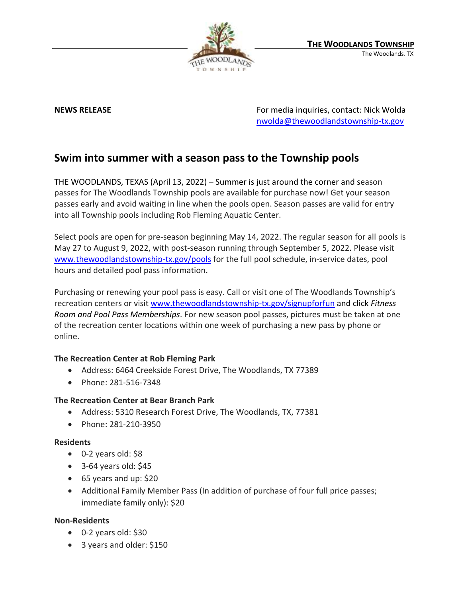

**NEWS RELEASE EXECUTE:** NEWS **RELEASE For media inquiries, contact: Nick Wolda** [nwolda@thewoodlandstownship-tx.gov](mailto:nwolda@thewoodlandstownship-tx.gov)

# **Swim into summer with a season pass to the Township pools**

THE WOODLANDS, TEXAS (April 13, 2022) – Summer is just around the corner and season passes for The Woodlands Township pools are available for purchase now! Get your season passes early and avoid waiting in line when the pools open. Season passes are valid for entry into all Township pools including Rob Fleming Aquatic Center.

Select pools are open for pre-season beginning May 14, 2022. The regular season for all pools is May 27 to August 9, 2022, with post-season running through September 5, 2022. Please visit www.thewoodlandstownship-tx.gov/pools for the full pool schedule, in-service dates, pool hours and detailed pool pass information.

Purchasing or renewing your pool pass is easy. Call or visit one of The Woodlands Township's recreation centers or visit [www.thewoodlandstownship-tx.gov/signupforfun](http://www.thewoodlandstownship-tx.gov/signupforfun) and click *Fitness Room and Pool Pass Memberships*. For new season pool passes, pictures must be taken at one of the recreation center locations within one week of purchasing a new pass by phone or online.

## **The Recreation Center at Rob Fleming Park**

- Address: 6464 Creekside Forest Drive, The Woodlands, TX 77389
- Phone: 281-516-7348

### **The Recreation Center at Bear Branch Park**

- Address: 5310 Research Forest Drive, The Woodlands, TX, 77381
- Phone: 281-210-3950

### **Residents**

- 0-2 years old: \$8
- $\bullet$  3-64 years old: \$45
- 65 years and up: \$20
- Additional Family Member Pass (In addition of purchase of four full price passes; immediate family only): \$20

### **Non-Residents**

- $\bullet$  0-2 years old: \$30
- 3 years and older: \$150